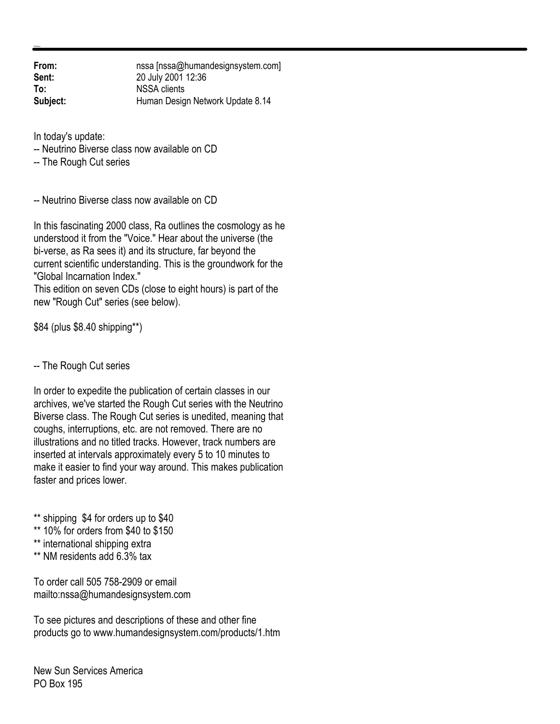**From:** nssa [nssa@humandesignsystem.com]<br> **Sent:** 20 July 2001 12:36 **Sent:** 20 July 2001 12:36 **To:** NSSA clients **Subject:** Human Design Network Update 8.14

In today's update:

-- Neutrino Biverse class now available on CD

-- The Rough Cut series

-- Neutrino Biverse class now available on CD

In this fascinating 2000 class, Ra outlines the cosmology as he understood it from the "Voice." Hear about the universe (the bi-verse, as Ra sees it) and its structure, far beyond the current scientific understanding. This is the groundwork for the "Global Incarnation Index."

This edition on seven CDs (close to eight hours) is part of the new "Rough Cut" series (see below).

\$84 (plus \$8.40 shipping\*\*)

-- The Rough Cut series

In order to expedite the publication of certain classes in our archives, we've started the Rough Cut series with the Neutrino Biverse class. The Rough Cut series is unedited, meaning that coughs, interruptions, etc. are not removed. There are no illustrations and no titled tracks. However, track numbers are inserted at intervals approximately every 5 to 10 minutes to make it easier to find your way around. This makes publication faster and prices lower.

\*\* shipping \$4 for orders up to \$40

- \*\* 10% for orders from \$40 to \$150
- \*\* international shipping extra
- \*\* NM residents add 6.3% tax

To order call 505 758-2909 or email mailto:nssa@humandesignsystem.com

To see pictures and descriptions of these and other fine products go to www.humandesignsystem.com/products/1.htm

New Sun Services America PO Box 195